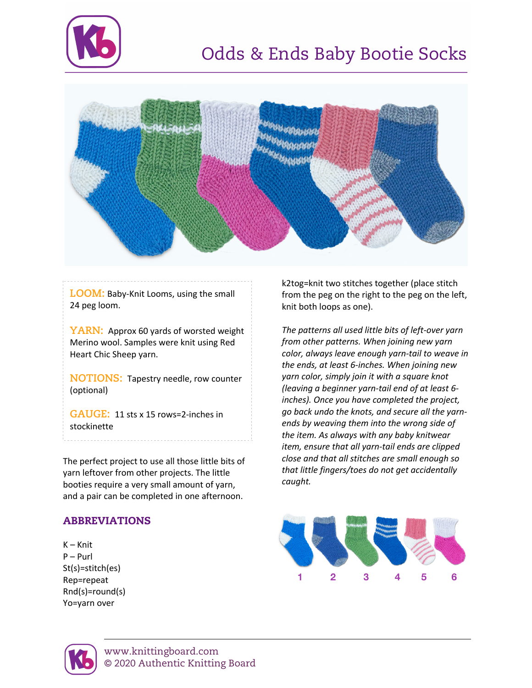



**LOOM:** Baby-Knit Looms, using the small 24 peg loom.

**YARN:** Approx 60 yards of worsted weight Merino wool. Samples were knit using Red Heart Chic Sheep yarn.

**NOTIONS:** Tapestry needle, row counter (optional)

**GAUGE:** 11 sts x 15 rows=2-inches in stockinette

The perfect project to use all those little bits of yarn leftover from other projects. The little booties require a very small amount of yarn, and a pair can be completed in one afternoon.

## ABBREVIATIONS

K – Knit P – Purl St(s)=stitch(es) Rep=repeat Rnd(s)=round(s) Yo=yarn over

k2tog=knit two stitches together (place stitch from the peg on the right to the peg on the left, knit both loops as one).

*The patterns all used little bits of left-over yarn from other patterns. When joining new yarn color, always leave enough yarn-tail to weave in the ends, at least 6-inches. When joining new yarn color, simply join it with a square knot (leaving a beginner yarn-tail end of at least 6 inches). Once you have completed the project, go back undo the knots, and secure all the yarnends by weaving them into the wrong side of the item. As always with any baby knitwear item, ensure that all yarn-tail ends are clipped close and that all stitches are small enough so that little fingers/toes do not get accidentally caught.*



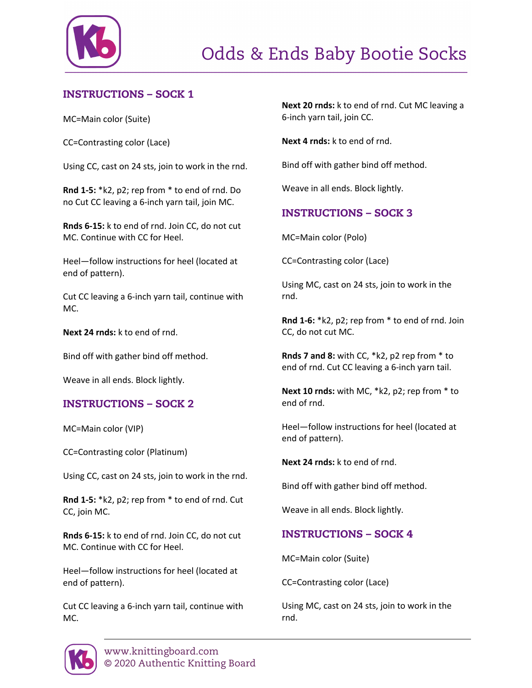

# INSTRUCTIONS – SOCK 1

MC=Main color (Suite)

CC=Contrasting color (Lace)

Using CC, cast on 24 sts, join to work in the rnd.

**Rnd 1-5:** \*k2, p2; rep from \* to end of rnd. Do no Cut CC leaving a 6-inch yarn tail, join MC.

**Rnds 6-15:** k to end of rnd. Join CC, do not cut MC. Continue with CC for Heel.

Heel—follow instructions for heel (located at end of pattern).

Cut CC leaving a 6-inch yarn tail, continue with MC.

**Next 24 rnds:** k to end of rnd.

Bind off with gather bind off method.

Weave in all ends. Block lightly.

#### INSTRUCTIONS – SOCK 2

MC=Main color (VIP)

CC=Contrasting color (Platinum)

Using CC, cast on 24 sts, join to work in the rnd.

**Rnd 1-5:** \*k2, p2; rep from \* to end of rnd. Cut CC, join MC.

**Rnds 6-15:** k to end of rnd. Join CC, do not cut MC. Continue with CC for Heel.

Heel—follow instructions for heel (located at end of pattern).

Cut CC leaving a 6-inch yarn tail, continue with MC.

**Next 20 rnds:** k to end of rnd. Cut MC leaving a 6-inch yarn tail, join CC.

**Next 4 rnds:** k to end of rnd.

Bind off with gather bind off method.

Weave in all ends. Block lightly.

# INSTRUCTIONS – SOCK 3

MC=Main color (Polo)

CC=Contrasting color (Lace)

Using MC, cast on 24 sts, join to work in the rnd.

**Rnd 1-6:** \*k2, p2; rep from \* to end of rnd. Join CC, do not cut MC.

**Rnds 7 and 8:** with CC, \*k2, p2 rep from \* to end of rnd. Cut CC leaving a 6-inch yarn tail.

**Next 10 rnds:** with MC, \*k2, p2; rep from \* to end of rnd.

Heel—follow instructions for heel (located at end of pattern).

**Next 24 rnds:** k to end of rnd.

Bind off with gather bind off method.

Weave in all ends. Block lightly.

#### INSTRUCTIONS – SOCK 4

MC=Main color (Suite)

CC=Contrasting color (Lace)

Using MC, cast on 24 sts, join to work in the rnd.

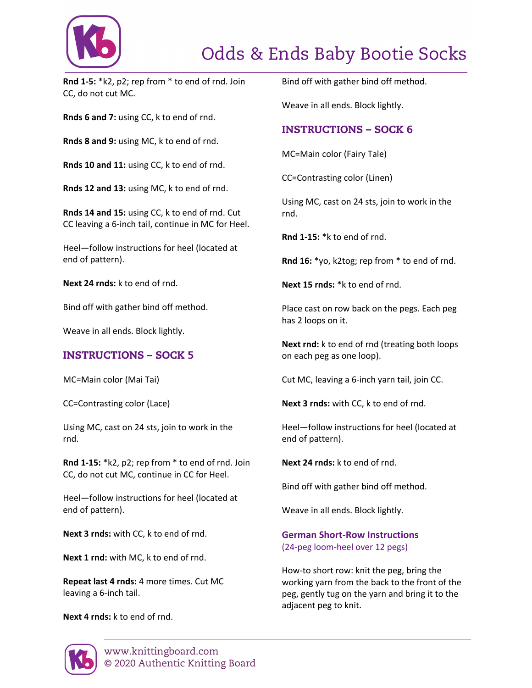

# Odds & Ends Baby Bootie Socks

**Rnd 1-5:** \*k2, p2; rep from \* to end of rnd. Join CC, do not cut MC.

**Rnds 6 and 7:** using CC, k to end of rnd.

**Rnds 8 and 9:** using MC, k to end of rnd.

**Rnds 10 and 11:** using CC, k to end of rnd.

**Rnds 12 and 13:** using MC, k to end of rnd.

**Rnds 14 and 15:** using CC, k to end of rnd. Cut CC leaving a 6-inch tail, continue in MC for Heel.

Heel—follow instructions for heel (located at end of pattern).

**Next 24 rnds:** k to end of rnd.

Bind off with gather bind off method.

Weave in all ends. Block lightly.

#### INSTRUCTIONS – SOCK 5

MC=Main color (Mai Tai)

CC=Contrasting color (Lace)

Using MC, cast on 24 sts, join to work in the rnd.

**Rnd 1-15:** \*k2, p2; rep from \* to end of rnd. Join CC, do not cut MC, continue in CC for Heel.

Heel—follow instructions for heel (located at end of pattern).

**Next 3 rnds:** with CC, k to end of rnd.

**Next 1 rnd:** with MC, k to end of rnd.

**Repeat last 4 rnds:** 4 more times. Cut MC leaving a 6-inch tail.

**Next 4 rnds:** k to end of rnd.

Bind off with gather bind off method.

Weave in all ends. Block lightly.

## INSTRUCTIONS – SOCK 6

MC=Main color (Fairy Tale)

CC=Contrasting color (Linen)

Using MC, cast on 24 sts, join to work in the rnd.

**Rnd 1-15:** \*k to end of rnd.

**Rnd 16:** \*yo, k2tog; rep from \* to end of rnd.

**Next 15 rnds:** \*k to end of rnd.

Place cast on row back on the pegs. Each peg has 2 loops on it.

**Next rnd:** k to end of rnd (treating both loops on each peg as one loop).

Cut MC, leaving a 6-inch yarn tail, join CC.

**Next 3 rnds:** with CC, k to end of rnd.

Heel—follow instructions for heel (located at end of pattern).

**Next 24 rnds:** k to end of rnd.

Bind off with gather bind off method.

Weave in all ends. Block lightly.

#### **German Short-Row Instructions** (24-peg loom-heel over 12 pegs)

How-to short row: knit the peg, bring the working yarn from the back to the front of the peg, gently tug on the yarn and bring it to the adjacent peg to knit.